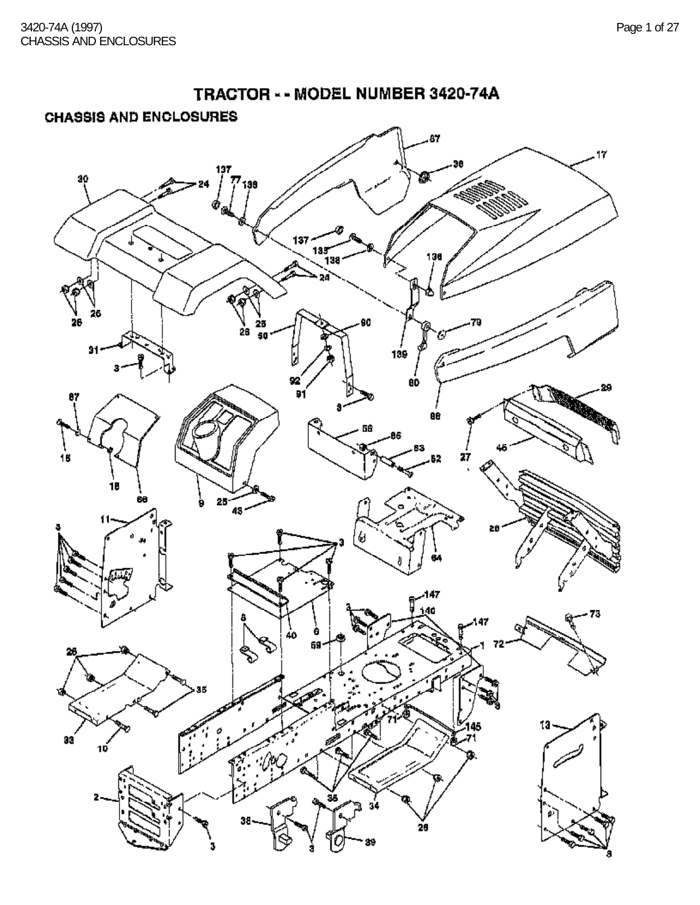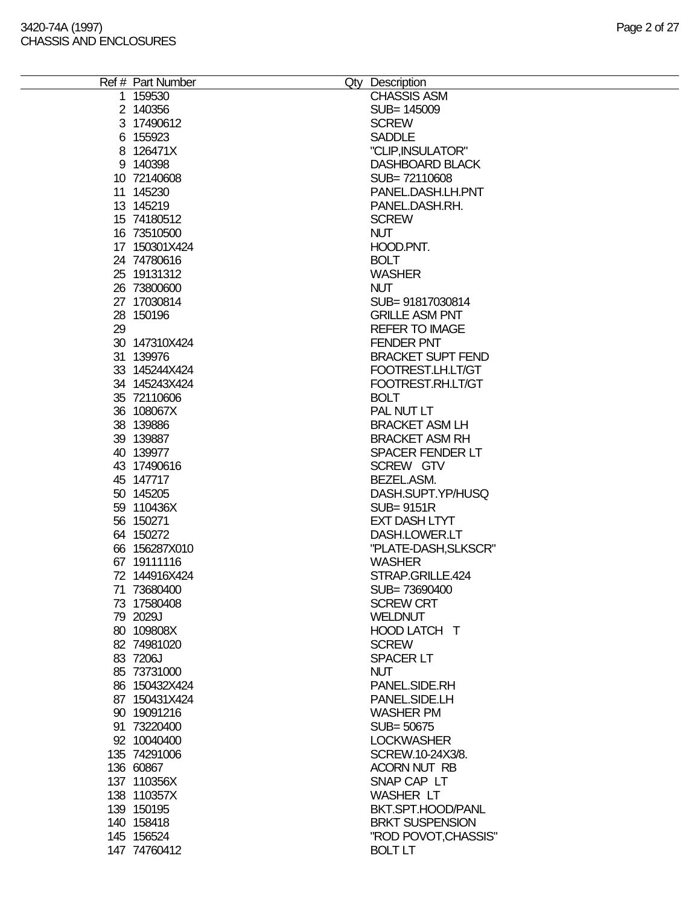|    | Ref # Part Number | Qty Description          |
|----|-------------------|--------------------------|
|    | 1 159530          | <b>CHASSIS ASM</b>       |
|    | 2 140356          | SUB= 145009              |
|    | 3 17490612        | <b>SCREW</b>             |
|    | 6 155923          | <b>SADDLE</b>            |
|    | 8 126471X         | "CLIP, INSULATOR"        |
|    | 9 140398          | <b>DASHBOARD BLACK</b>   |
|    | 10 72140608       | SUB=72110608             |
|    | 11 145230         | PANEL.DASH.LH.PNT        |
|    | 13 145219         | PANEL.DASH.RH.           |
|    |                   |                          |
|    | 15 74180512       | <b>SCREW</b>             |
|    | 16 73510500       | <b>NUT</b>               |
|    | 17 150301X424     | HOOD.PNT.                |
|    | 24 74780616       | <b>BOLT</b>              |
|    | 25 19131312       | <b>WASHER</b>            |
|    | 26 73800600       | <b>NUT</b>               |
|    | 27 17030814       | SUB= 91817030814         |
|    | 28 150196         | <b>GRILLE ASM PNT</b>    |
| 29 |                   | <b>REFER TO IMAGE</b>    |
|    | 30 147310X424     | <b>FENDER PNT</b>        |
|    |                   | <b>BRACKET SUPT FEND</b> |
|    | 31 139976         |                          |
|    | 33 145244X424     | FOOTREST.LH.LT/GT        |
|    | 34 145243X424     | FOOTREST.RH.LT/GT        |
|    | 35 72110606       | <b>BOLT</b>              |
|    | 36 108067X        | PAL NUT LT               |
|    | 38 139886         | <b>BRACKET ASM LH</b>    |
|    | 39 139887         | <b>BRACKET ASM RH</b>    |
|    | 40 139977         | <b>SPACER FENDER LT</b>  |
|    | 43 17490616       | SCREW GTV                |
|    | 45 147717         | BEZEL.ASM.               |
|    | 50 145205         | DASH.SUPT.YP/HUSQ        |
|    |                   |                          |
|    | 59 110436X        | <b>SUB=9151R</b>         |
|    | 56 150271         | <b>EXT DASH LTYT</b>     |
|    | 64 150272         | DASH.LOWER.LT            |
|    | 66 156287X010     | "PLATE-DASH, SLKSCR"     |
|    | 67 19111116       | <b>WASHER</b>            |
|    | 72 144916X424     | STRAP.GRILLE.424         |
|    | 71 73680400       | SUB=73690400             |
|    | 73 17580408       | <b>SCREW CRT</b>         |
|    | 79 2029J          | <b>WELDNUT</b>           |
|    | 80 109808X        | HOOD LATCH T             |
|    | 82 74981020       | <b>SCREW</b>             |
|    | 83 7206J          | <b>SPACER LT</b>         |
|    |                   |                          |
|    | 85 73731000       | <b>NUT</b>               |
|    | 86 150432X424     | PANEL.SIDE.RH            |
|    | 87 150431X424     | PANEL.SIDE.LH            |
|    | 90 19091216       | <b>WASHER PM</b>         |
|    | 91 73220400       | SUB= 50675               |
|    | 92 10040400       | <b>LOCKWASHER</b>        |
|    | 135 74291006      | SCREW.10-24X3/8.         |
|    | 136 60867         | <b>ACORN NUT RB</b>      |
|    | 137 110356X       | SNAP CAP LT              |
|    | 138 110357X       | <b>WASHER LT</b>         |
|    |                   |                          |
|    | 139 150195        | BKT.SPT.HOOD/PANL        |
|    | 140 158418        | <b>BRKT SUSPENSION</b>   |
|    | 145 156524        | "ROD POVOT, CHASSIS"     |
|    | 147 74760412      | <b>BOLT LT</b>           |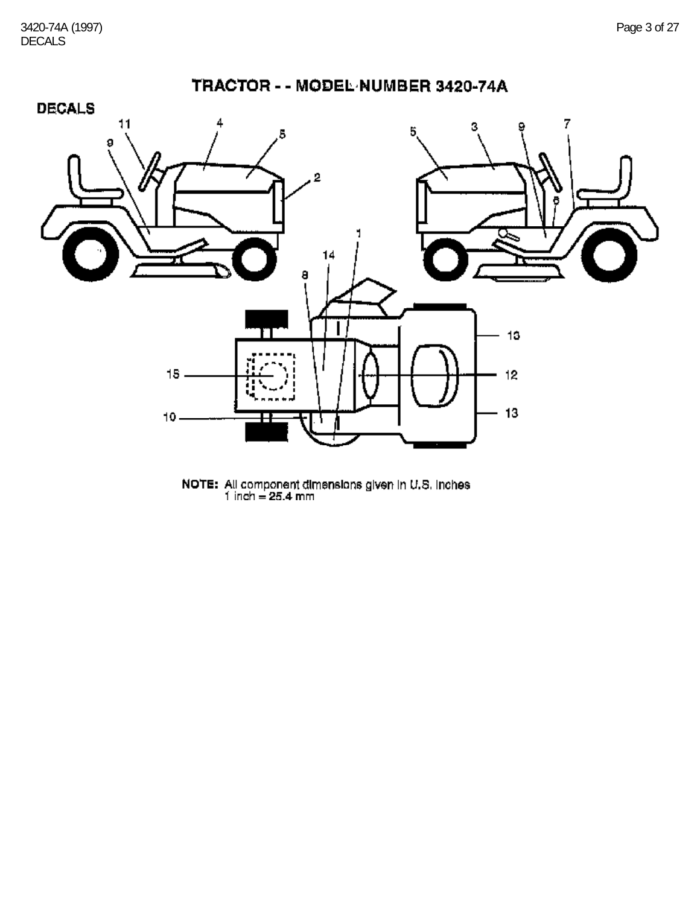

NOTE: All component dimensions given in U.S. inches<br>
1 inch = 25.4 mm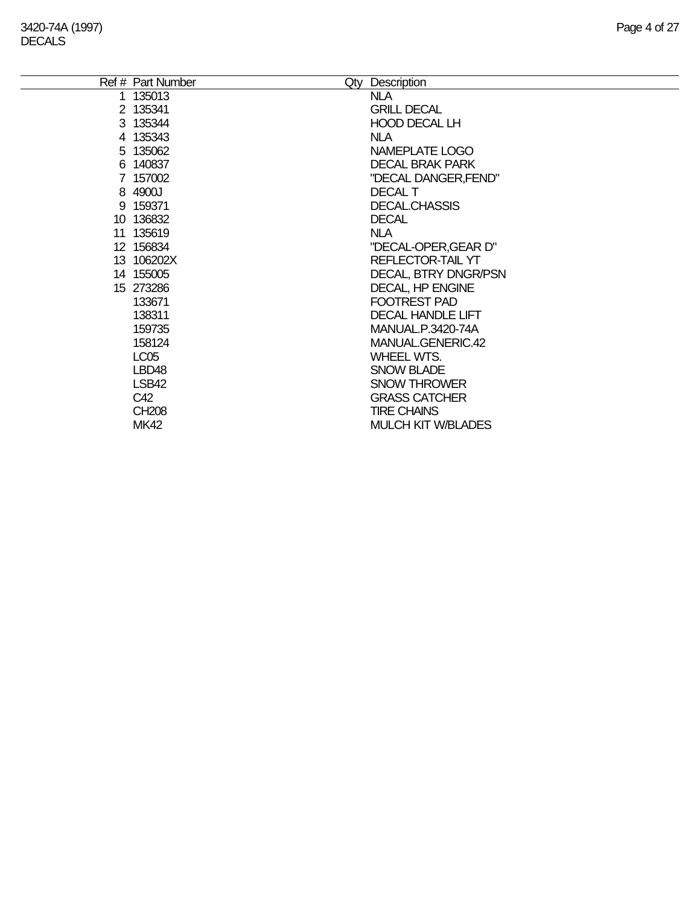| Ref # Part Number | Qty Description           |
|-------------------|---------------------------|
| 1 135013          | <b>NLA</b>                |
| 2 135341          | <b>GRILL DECAL</b>        |
| 3 135344          | <b>HOOD DECAL LH</b>      |
| 4 135343          | <b>NLA</b>                |
| 5 135062          | NAMEPLATE LOGO            |
| 6 140837          | <b>DECAL BRAK PARK</b>    |
| 7 157002          | "DECAL DANGER, FEND"      |
| 8 4900J           | <b>DECAL T</b>            |
| 9 159371          | <b>DECAL.CHASSIS</b>      |
| 10 136832         | <b>DECAL</b>              |
| 11 135619         | <b>NLA</b>                |
| 12 156834         | "DECAL-OPER, GEAR D"      |
| 13 106202X        | REFLECTOR-TAIL YT         |
| 14 155005         | DECAL, BTRY DNGR/PSN      |
| 15 273286         | DECAL, HP ENGINE          |
| 133671            | FOOTREST PAD              |
| 138311            | <b>DECAL HANDLE LIFT</b>  |
| 159735            | MANUAL.P.3420-74A         |
| 158124            | MANUAL.GENERIC.42         |
| LC <sub>05</sub>  | <b>WHEEL WTS.</b>         |
| LBD <sub>48</sub> | <b>SNOW BLADE</b>         |
| LSB42             | <b>SNOW THROWER</b>       |
| C42               | <b>GRASS CATCHER</b>      |
| <b>CH208</b>      | <b>TIRE CHAINS</b>        |
| <b>MK42</b>       | <b>MULCH KIT W/BLADES</b> |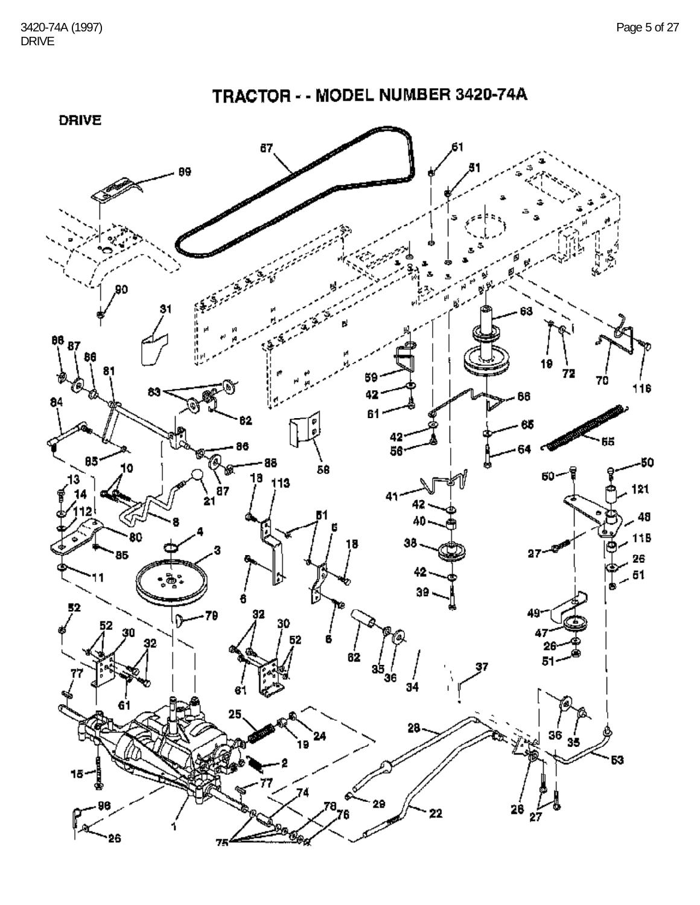

75

TRACTOR - - MODEL NUMBER 3420-74A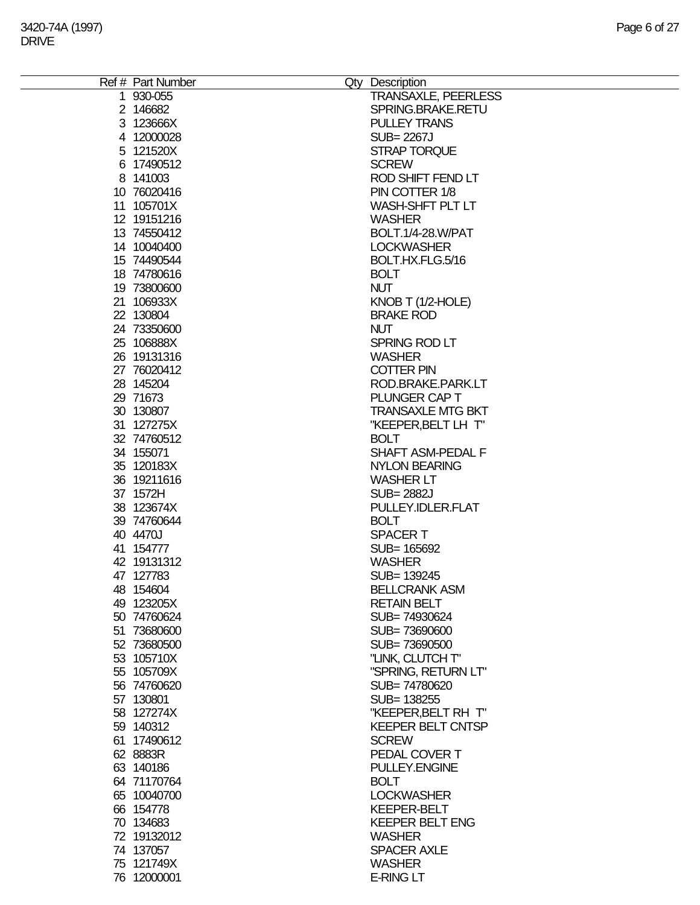| Ref # Part Number | Qty Description            |
|-------------------|----------------------------|
| 1 930-055         | <b>TRANSAXLE, PEERLESS</b> |
| 2 146682          | SPRING.BRAKE.RETU          |
|                   |                            |
| 3 123666X         | <b>PULLEY TRANS</b>        |
| 4 12000028        | SUB= 2267J                 |
| 5 121520X         | STRAP TORQUE               |
| 6 17490512        | <b>SCREW</b>               |
| 8 141003          | ROD SHIFT FEND LT          |
| 10 76020416       | PIN COTTER 1/8             |
|                   |                            |
| 11 105701X        | WASH-SHFT PLT LT           |
| 12 19151216       | <b>WASHER</b>              |
| 13 74550412       | BOLT.1/4-28.W/PAT          |
| 14 10040400       | <b>LOCKWASHER</b>          |
| 15 74490544       | BOLT.HX.FLG.5/16           |
| 18 74780616       | <b>BOLT</b>                |
|                   |                            |
| 19 73800600       | <b>NUT</b>                 |
| 21 106933X        | KNOB T (1/2-HOLE)          |
| 22 130804         | <b>BRAKE ROD</b>           |
| 24 73350600       | <b>NUT</b>                 |
| 25 106888X        | SPRING ROD LT              |
| 26 19131316       | <b>WASHER</b>              |
| 27 76020412       | <b>COTTER PIN</b>          |
|                   |                            |
| 28 145204         | ROD.BRAKE.PARK.LT          |
| 29 71673          | PLUNGER CAP T              |
| 30 130807         | <b>TRANSAXLE MTG BKT</b>   |
| 31 127275X        | "KEEPER, BELT LH T"        |
| 32 74760512       | <b>BOLT</b>                |
| 34 155071         | SHAFT ASM-PEDAL F          |
| 35 120183X        |                            |
|                   | <b>NYLON BEARING</b>       |
| 36 19211616       | <b>WASHER LT</b>           |
| 37 1572H          | <b>SUB=2882J</b>           |
| 38 123674X        | PULLEY.IDLER.FLAT          |
| 39 74760644       | <b>BOLT</b>                |
| 40 4470J          | <b>SPACERT</b>             |
| 41 154777         | SUB= 165692                |
|                   |                            |
| 42 19131312       | <b>WASHER</b>              |
| 47 127783         | SUB= 139245                |
| 48 154604         | <b>BELLCRANK ASM</b>       |
| 49 123205X        | <b>RETAIN BELT</b>         |
| 50 74760624       | SUB=74930624               |
| 51 73680600       | SUB=73690600               |
| 52 73680500       | SUB=73690500               |
|                   |                            |
| 53 105710X        | "LINK, CLUTCH T"           |
| 55 105709X        | "SPRING, RETURN LT"        |
| 56 74760620       | SUB=74780620               |
| 57 130801         | SUB= 138255                |
| 58 127274X        | "KEEPER, BELT RH T"        |
| 59 140312         | <b>KEEPER BELT CNTSP</b>   |
| 61 17490612       | <b>SCREW</b>               |
|                   |                            |
| 62 8883R          | PEDAL COVER T              |
| 63 140186         | PULLEY.ENGINE              |
| 64 71170764       | <b>BOLT</b>                |
| 65 10040700       | <b>LOCKWASHER</b>          |
| 66 154778         | <b>KEEPER-BELT</b>         |
| 70 134683         | <b>KEEPER BELT ENG</b>     |
|                   | <b>WASHER</b>              |
| 72 19132012       |                            |
| 74 137057         | <b>SPACER AXLE</b>         |
| 75 121749X        | <b>WASHER</b>              |
| 76 12000001       | <b>E-RING LT</b>           |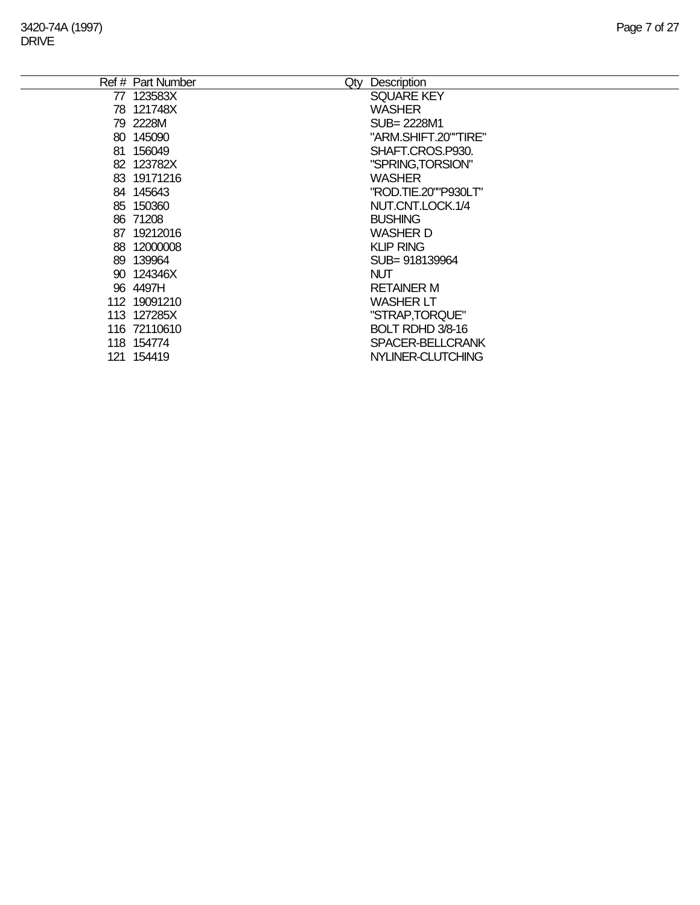|    | Ref # Part Number<br>Qty | Description          |
|----|--------------------------|----------------------|
|    | 77 123583X               | <b>SQUARE KEY</b>    |
|    | 78 121748X               | <b>WASHER</b>        |
|    | 79 2228M                 | SUB= 2228M1          |
|    | 80 145090                | "ARM.SHIFT.20""TIRE" |
| 81 | 156049                   | SHAFT.CROS.P930.     |
|    | 82 123782X               | "SPRING, TORSION"    |
|    | 83 19171216              | <b>WASHER</b>        |
|    | 84 145643                | "ROD.TIE.20""P930LT" |
|    | 85 150360                | NUT.CNT.LOCK.1/4     |
|    | 86 71208                 | <b>BUSHING</b>       |
| 87 | 19212016                 | <b>WASHER D</b>      |
| 88 | 12000008                 | <b>KLIP RING</b>     |
| 89 | 139964                   | SUB=918139964        |
|    | 90 124346X               | <b>NUT</b>           |
|    | 96 4497H                 | <b>RETAINER M</b>    |
|    | 112 19091210             | <b>WASHER LT</b>     |
|    | 113 127285X              | "STRAP,TORQUE"       |
|    | 116 72110610             | BOLT RDHD 3/8-16     |
|    | 118 154774               | SPACER-BELLCRANK     |
|    | 121 154419               | NYLINER-CLUTCHING    |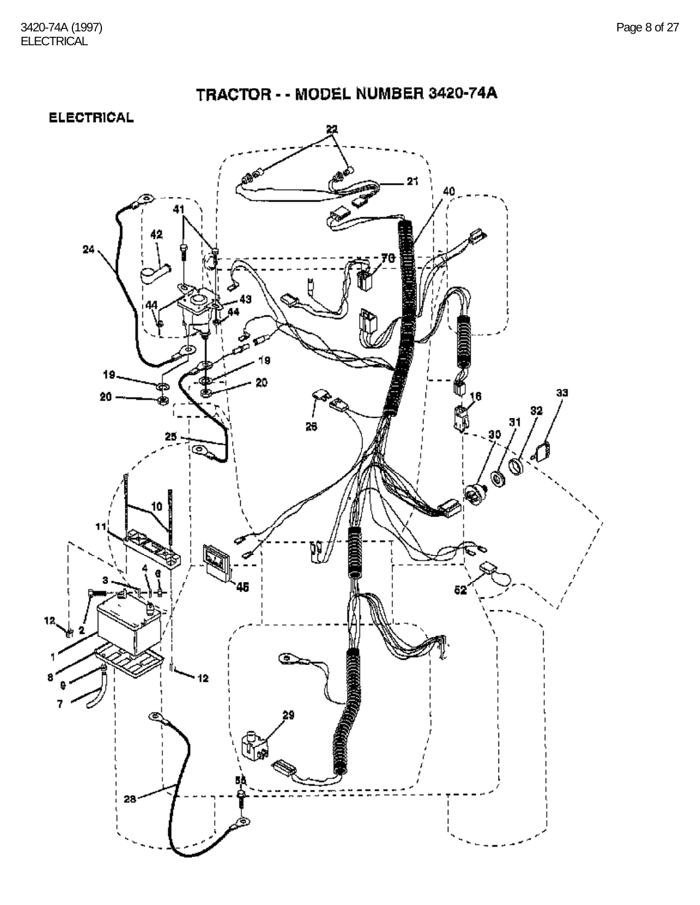TRACTOR - - MODEL NUMBER 3420-74A



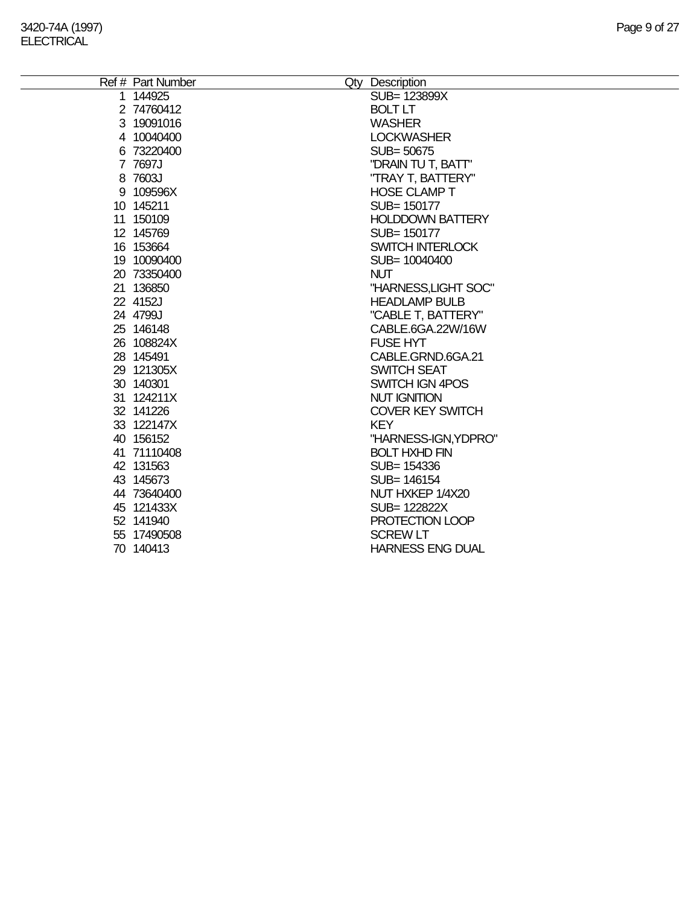÷.

| Ref # Part Number | Qty Description         |
|-------------------|-------------------------|
| 1 144925          | SUB= 123899X            |
| 2 74760412        | <b>BOLT LT</b>          |
| 3 19091016        | <b>WASHER</b>           |
| 4 10040400        | <b>LOCKWASHER</b>       |
| 6 73220400        | SUB=50675               |
| 7 7697J           | "DRAIN TU T, BATT"      |
| 8 7603J           | "TRAY T, BATTERY"       |
| 9 109596X         | <b>HOSE CLAMP T</b>     |
| 10 145211         | SUB= 150177             |
| 11 150109         | <b>HOLDDOWN BATTERY</b> |
| 12 145769         | SUB= 150177             |
| 16 153664         | <b>SWITCH INTERLOCK</b> |
| 19 10090400       | SUB= 10040400           |
| 20 73350400       | <b>NUT</b>              |
| 21 136850         | "HARNESS, LIGHT SOC"    |
| 22 4152J          | <b>HEADLAMP BULB</b>    |
| 24 4799J          | "CABLE T, BATTERY"      |
| 25 146148         | CABLE.6GA.22W/16W       |
| 26 108824X        | <b>FUSE HYT</b>         |
| 28 145491         | CABLE.GRND.6GA.21       |
| 29 121305X        | <b>SWITCH SEAT</b>      |
| 30 140301         | SWITCH IGN 4POS         |
| 31 124211X        | <b>NUT IGNITION</b>     |
| 32 141226         | <b>COVER KEY SWITCH</b> |
| 33 122147X        | <b>KEY</b>              |
| 40 156152         | "HARNESS-IGN, YDPRO"    |
| 41 71110408       | <b>BOLT HXHD FIN</b>    |
| 42 131563         | SUB= 154336             |
| 43 145673         | SUB= 146154             |
| 44 73640400       | NUT HXKEP 1/4X20        |
| 45 121433X        | SUB= 122822X            |
| 52 141940         | PROTECTION LOOP         |
| 55 17490508       | <b>SCREW LT</b>         |
| 70 140413         | <b>HARNESS ENG DUAL</b> |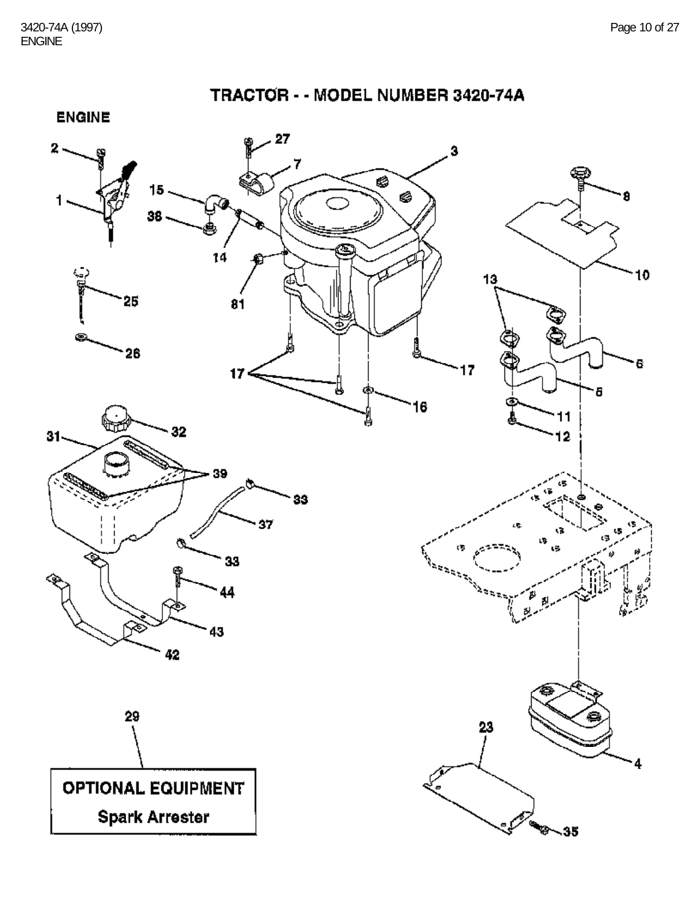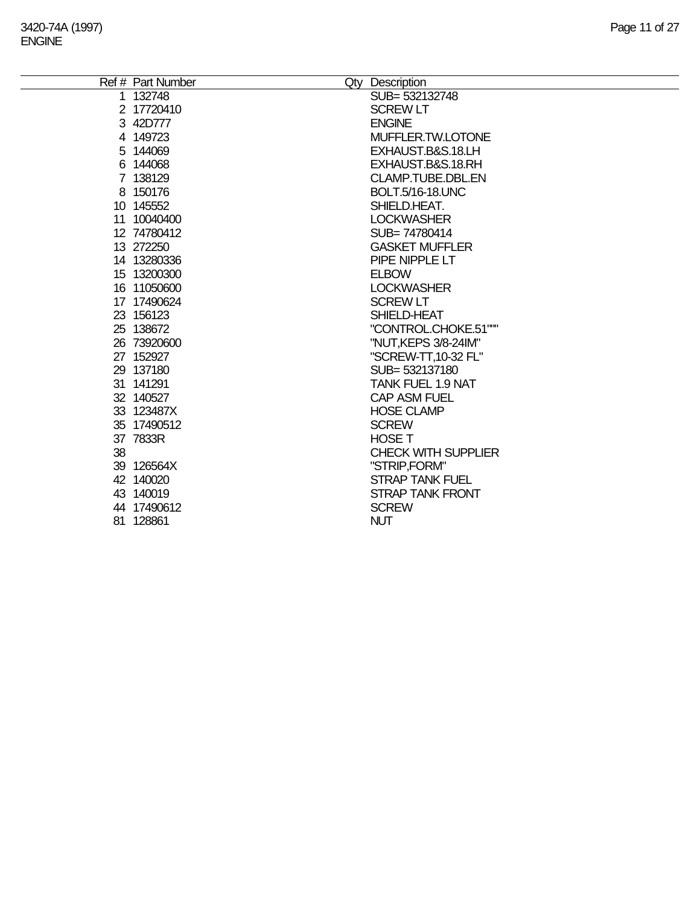÷.

|    | Ref # Part Number | Qty Description            |
|----|-------------------|----------------------------|
|    | 1 132748          | SUB= 532132748             |
|    | 2 17720410        | <b>SCREW LT</b>            |
|    | 3 42D777          | <b>ENGINE</b>              |
|    | 4 149723          | MUFFLER.TW.LOTONE          |
|    | 5 144069          | EXHAUST.B&S.18.LH          |
|    | 6 144068          | EXHAUST.B&S.18.RH          |
|    | 7 138129          | CLAMP.TUBE.DBL.EN          |
|    | 8 150176          | <b>BOLT.5/16-18.UNC</b>    |
|    | 10 145552         | SHIELD.HEAT.               |
|    | 11 10040400       | <b>LOCKWASHER</b>          |
|    | 12 74780412       | SUB=74780414               |
|    | 13 272250         | <b>GASKET MUFFLER</b>      |
|    | 14 13280336       | PIPE NIPPLE LT             |
|    | 15 13200300       | <b>ELBOW</b>               |
|    | 16 11050600       | <b>LOCKWASHER</b>          |
|    | 17 17490624       | <b>SCREW LT</b>            |
|    | 23 156123         | SHIELD-HEAT                |
|    | 25 138672         | "CONTROL.CHOKE.51"""       |
|    | 26 73920600       | "NUT, KEPS 3/8-24IM"       |
|    | 27 152927         | "SCREW-TT, 10-32 FL"       |
|    | 29 137180         | SUB= 532137180             |
|    | 31 141291         | <b>TANK FUEL 1.9 NAT</b>   |
|    | 32 140527         | <b>CAP ASM FUEL</b>        |
|    | 33 123487X        | <b>HOSE CLAMP</b>          |
|    | 35 17490512       | <b>SCREW</b>               |
|    | 37 7833R          | <b>HOSE T</b>              |
| 38 |                   | <b>CHECK WITH SUPPLIER</b> |
|    | 39 126564X        | "STRIP,FORM"               |
|    | 42 140020         | <b>STRAP TANK FUEL</b>     |
|    | 43 140019         | <b>STRAP TANK FRONT</b>    |
|    | 44 17490612       | <b>SCREW</b>               |
|    | 81 128861         | <b>NUT</b>                 |
|    |                   |                            |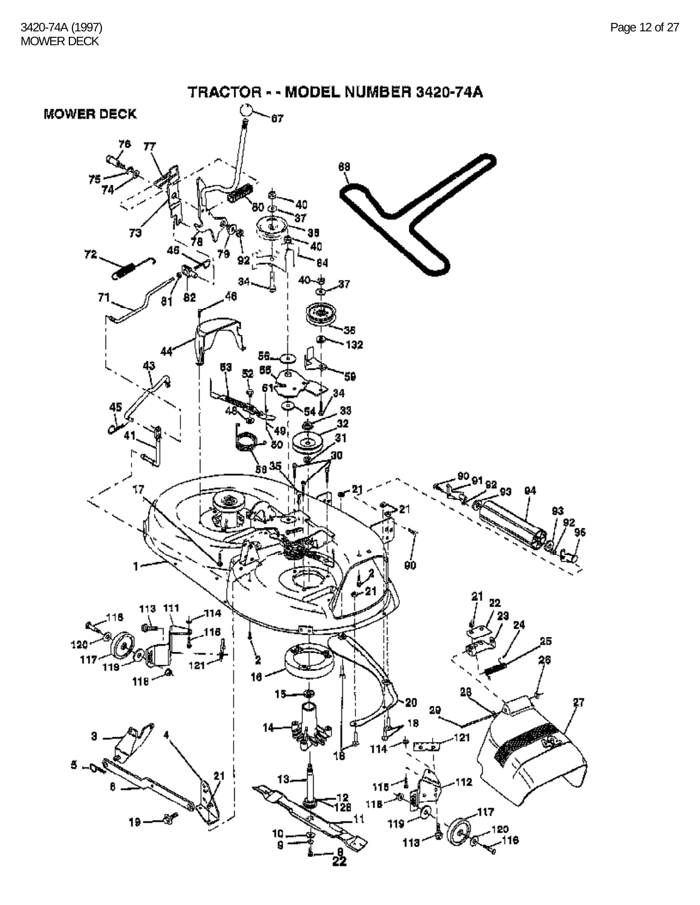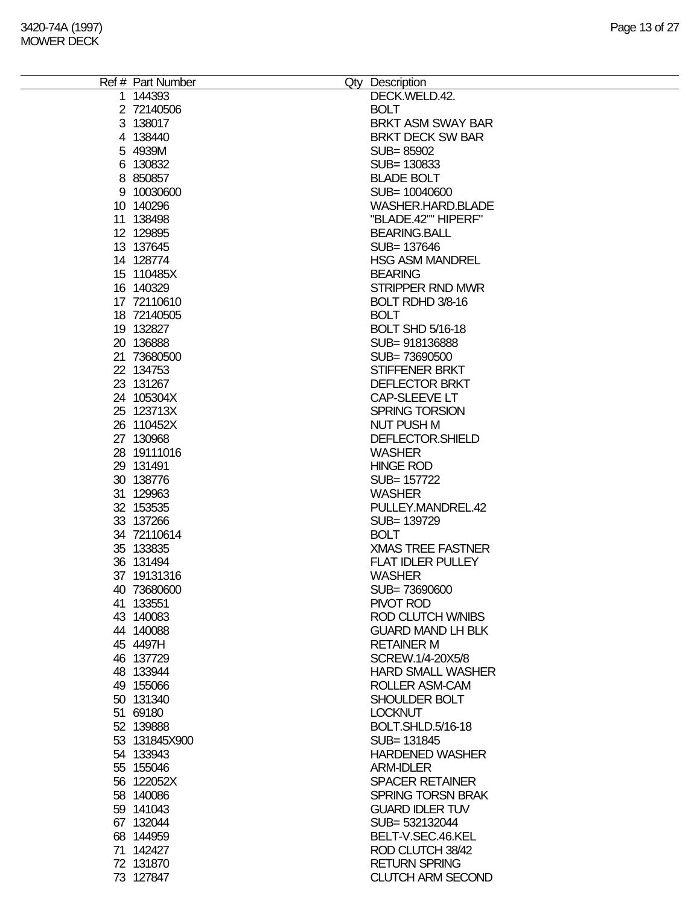| Ref # Part Number | Qty Description          |
|-------------------|--------------------------|
| 1 144393          | DECK.WELD.42.            |
| 2 72140506        | <b>BOLT</b>              |
|                   |                          |
| 3 138017          | <b>BRKT ASM SWAY BAR</b> |
| 4 138440          | <b>BRKT DECK SW BAR</b>  |
| 5 4939M           | SUB=85902                |
| 6 130832          | SUB= 130833              |
| 8 850857          | <b>BLADE BOLT</b>        |
| 9 10030600        | SUB= 10040600            |
| 10 140296         | WASHER.HARD.BLADE        |
| 11 138498         | "BLADE.42"" HIPERF"      |
| 12 129895         | <b>BEARING.BALL</b>      |
| 13 137645         | SUB= 137646              |
| 14 128774         | <b>HSG ASM MANDREL</b>   |
| 15 110485X        | <b>BEARING</b>           |
| 16 140329         | <b>STRIPPER RND MWR</b>  |
| 17 72110610       |                          |
|                   | BOLT RDHD 3/8-16         |
| 18 72140505       | <b>BOLT</b>              |
| 19 132827         | <b>BOLT SHD 5/16-18</b>  |
| 20 136888         | SUB=918136888            |
| 21 73680500       | SUB=73690500             |
| 22 134753         | <b>STIFFENER BRKT</b>    |
| 23 131267         | <b>DEFLECTOR BRKT</b>    |
| 24 105304X        | <b>CAP-SLEEVE LT</b>     |
| 25 123713X        | SPRING TORSION           |
| 26 110452X        | <b>NUT PUSH M</b>        |
| 27 130968         | DEFLECTOR.SHIELD         |
| 28 19111016       | <b>WASHER</b>            |
| 29 131491         | <b>HINGE ROD</b>         |
| 30 138776         | SUB= 157722              |
| 31 129963         | <b>WASHER</b>            |
|                   |                          |
| 32 153535         | PULLEY.MANDREL.42        |
| 33 137266         | SUB= 139729              |
| 34 72110614       | <b>BOLT</b>              |
| 35 133835         | <b>XMAS TREE FASTNER</b> |
| 36 131494         | <b>FLAT IDLER PULLEY</b> |
| 37 19131316       | <b>WASHER</b>            |
| 40 73680600       | SUB=73690600             |
| 41 133551         | PIVOT ROD                |
| 43 140083         | <b>ROD CLUTCH W/NIBS</b> |
| 44 140088         | <b>GUARD MAND LH BLK</b> |
| 45 4497H          | <b>RETAINER M</b>        |
| 46 137729         | SCREW.1/4-20X5/8         |
| 48 133944         | <b>HARD SMALL WASHER</b> |
| 49 155066         | ROLLER ASM-CAM           |
| 50 131340         | SHOULDER BOLT            |
| 51 69180          | <b>LOCKNUT</b>           |
| 52 139888         | <b>BOLT.SHLD.5/16-18</b> |
| 53 131845X900     | SUB= 131845              |
|                   | <b>HARDENED WASHER</b>   |
| 54 133943         |                          |
| 55 155046         | <b>ARM-IDLER</b>         |
| 56 122052X        | <b>SPACER RETAINER</b>   |
| 58 140086         | <b>SPRING TORSN BRAK</b> |
| 59 141043         | <b>GUARD IDLER TUV</b>   |
| 67 132044         | SUB= 532132044           |
| 68 144959         | BELT-V.SEC.46.KEL        |
| 71 142427         | ROD CLUTCH 38/42         |
| 72 131870         | <b>RETURN SPRING</b>     |
| 73 127847         | <b>CLUTCH ARM SECOND</b> |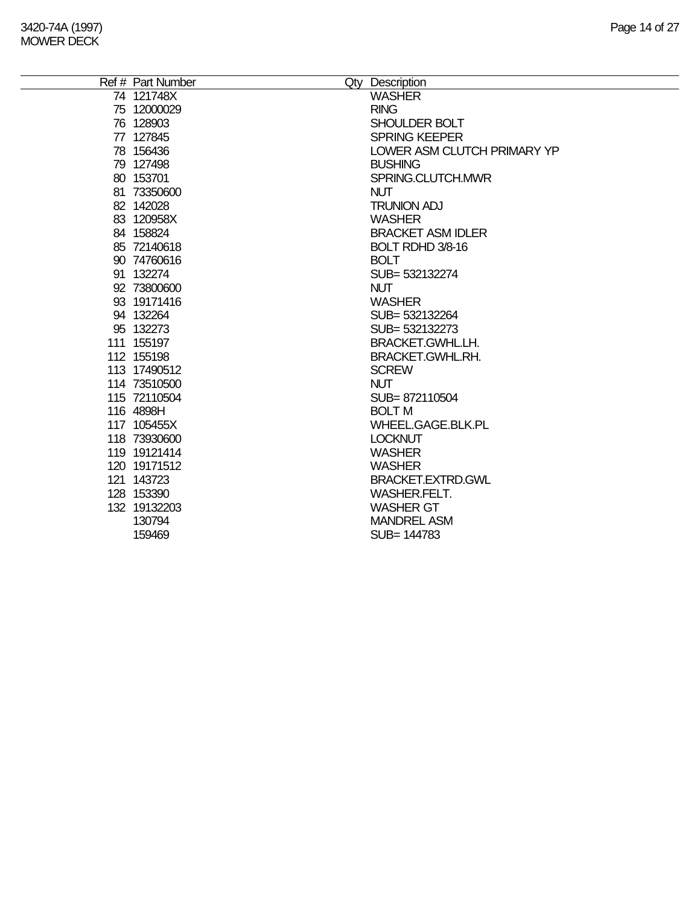| Ref # Part Number | Qty Description             |
|-------------------|-----------------------------|
| 74 121748X        | <b>WASHER</b>               |
| 75 12000029       | <b>RING</b>                 |
| 76 128903         | SHOULDER BOLT               |
| 77 127845         | <b>SPRING KEEPER</b>        |
| 78 156436         | LOWER ASM CLUTCH PRIMARY YP |
| 79 127498         | <b>BUSHING</b>              |
| 80 153701         | SPRING.CLUTCH.MWR           |
| 81 73350600       | <b>NUT</b>                  |
| 82 142028         | <b>TRUNION ADJ</b>          |
| 83 120958X        | <b>WASHER</b>               |
| 84 158824         | <b>BRACKET ASM IDLER</b>    |
| 85 72140618       | BOLT RDHD 3/8-16            |
| 90 74760616       | <b>BOLT</b>                 |
| 91 132274         | SUB=532132274               |
| 92 73800600       | <b>NUT</b>                  |
| 93 19171416       | <b>WASHER</b>               |
| 94 132264         | SUB= 532132264              |
| 95 132273         | SUB= 532132273              |
| 111 155197        | <b>BRACKET.GWHL.LH.</b>     |
| 112 155198        | BRACKET.GWHL.RH.            |
| 113 17490512      | <b>SCREW</b>                |
| 114 73510500      | <b>NUT</b>                  |
| 115 72110504      | SUB=872110504               |
| 116 4898H         | <b>BOLT M</b>               |
| 117 105455X       | WHEEL.GAGE.BLK.PL           |
| 118 73930600      | <b>LOCKNUT</b>              |
| 119 19121414      | <b>WASHER</b>               |
| 120 19171512      | <b>WASHER</b>               |
| 121 143723        | BRACKET.EXTRD.GWL           |
| 128 153390        | <b>WASHER FELT.</b>         |
| 132 19132203      | <b>WASHER GT</b>            |
| 130794            | <b>MANDREL ASM</b>          |
| 159469            | SUB= 144783                 |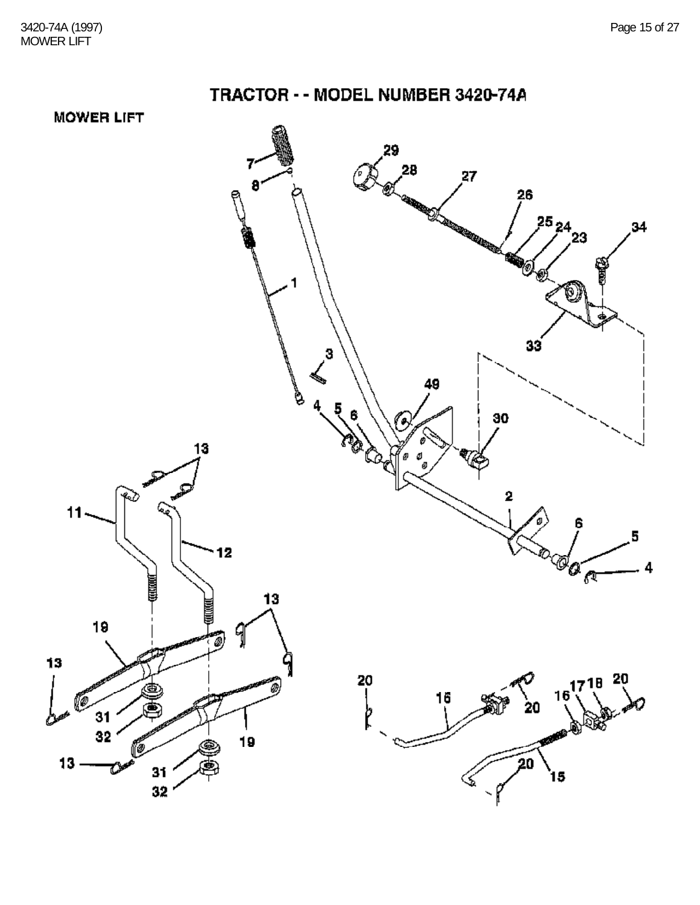**MOWER LIFT** 

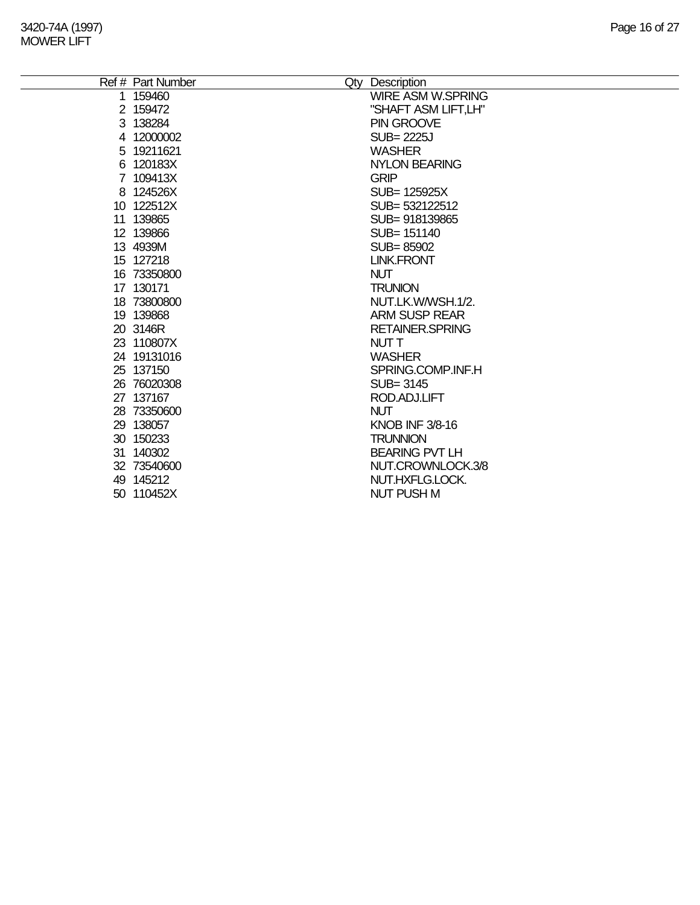÷,

| Ref # Part Number        | Qty Description                           |
|--------------------------|-------------------------------------------|
| 1 159460                 | <b>WIRE ASM W.SPRING</b>                  |
| 2 159472                 | "SHAFT ASM LIFT,LH"                       |
| 3 138284                 | PIN GROOVE                                |
| 4 12000002               | SUB= 2225J                                |
| 5 19211621               | <b>WASHER</b>                             |
| 6 120183X                | <b>NYLON BEARING</b>                      |
| 7 109413X                | <b>GRIP</b>                               |
| 8 124526X                | SUB= 125925X                              |
| 10 122512X               | SUB= 532122512                            |
| 11 139865                | SUB=918139865                             |
| 12 139866                | SUB= 151140                               |
| 13 4939M                 | SUB=85902                                 |
| 15 127218                | <b>LINK.FRONT</b>                         |
| 16 73350800              | <b>NUT</b>                                |
| 17 130171                | <b>TRUNION</b>                            |
| 18 73800800              | NUT.LK.W/WSH.1/2.                         |
| 19 139868                | <b>ARM SUSP REAR</b>                      |
| 20 3146R                 | <b>RETAINER.SPRING</b>                    |
| 23 110807X               | NUT T                                     |
| 24 19131016              | <b>WASHER</b>                             |
| 25 137150                | SPRING.COMP.INF.H                         |
| 26 76020308              | SUB=3145                                  |
| 27 137167                | ROD.ADJ.LIFT                              |
| 28 73350600              | <b>NUT</b>                                |
| 29 138057<br>30 150233   | <b>KNOB INF 3/8-16</b><br><b>TRUNNION</b> |
|                          | <b>BEARING PVT LH</b>                     |
| 31 140302<br>32 73540600 | NUT.CROWNLOCK.3/8                         |
| 49 145212                | NUT.HXFLG.LOCK.                           |
| 50 110452X               | <b>NUT PUSH M</b>                         |
|                          |                                           |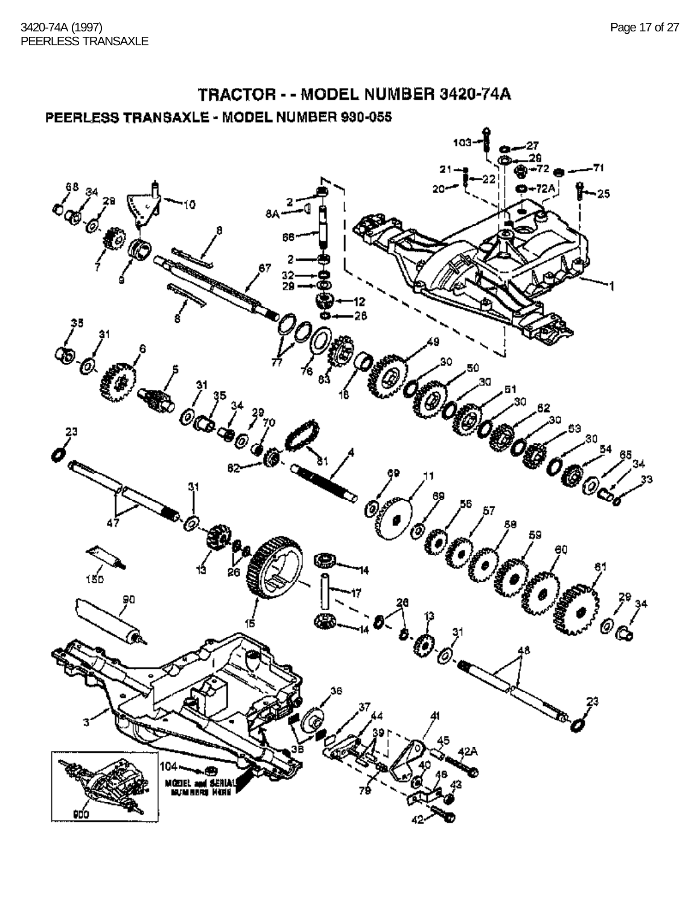### TRACTOR - - MODEL NUMBER 3420-74A PEERLESS TRANSAXLE - MODEL NUMBER 930-055

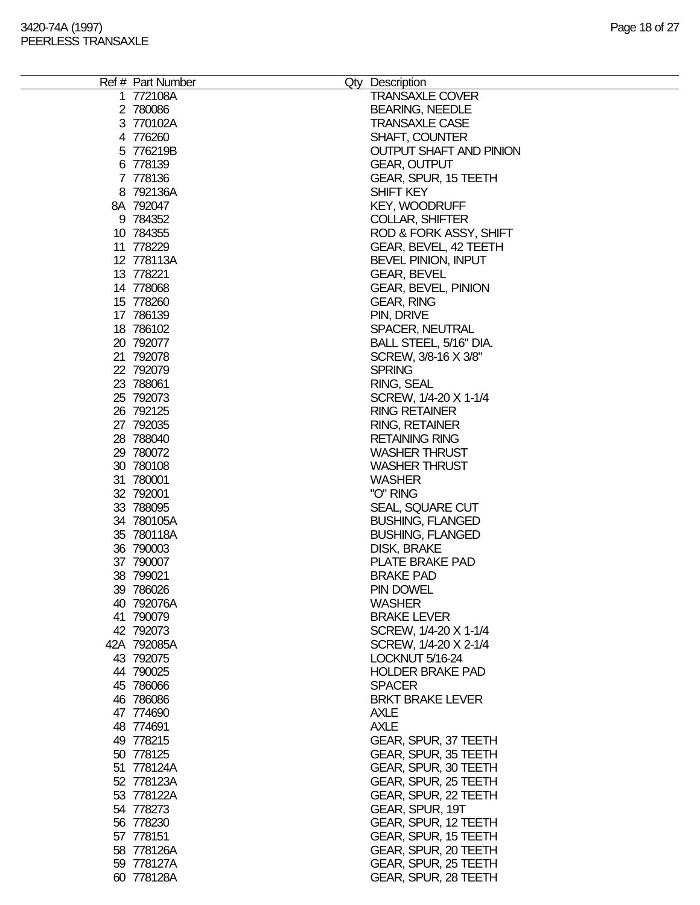| Ref # Part Number | Qty Description                |
|-------------------|--------------------------------|
| 1 772108A         | <b>TRANSAXLE COVER</b>         |
| 2 780086          | <b>BEARING, NEEDLE</b>         |
| 3 770102A         | <b>TRANSAXLE CASE</b>          |
| 4 776260          | <b>SHAFT, COUNTER</b>          |
| 5 776219B         | <b>OUTPUT SHAFT AND PINION</b> |
| 6 778139          | <b>GEAR, OUTPUT</b>            |
| 7 778136          | GEAR, SPUR, 15 TEETH           |
| 8 792136A         | SHIFT KEY                      |
|                   |                                |
| 8A 792047         | <b>KEY, WOODRUFF</b>           |
| 9 784352          | <b>COLLAR, SHIFTER</b>         |
| 10 784355         | ROD & FORK ASSY, SHIFT         |
| 11 778229         | GEAR, BEVEL, 42 TEETH          |
| 12 778113A        | BEVEL PINION, INPUT            |
| 13 778221         | <b>GEAR, BEVEL</b>             |
| 14 778068         | <b>GEAR, BEVEL, PINION</b>     |
| 15 778260         | <b>GEAR, RING</b>              |
| 17 786139         | PIN, DRIVE                     |
| 18 786102         | SPACER, NEUTRAL                |
| 20 792077         | BALL STEEL, 5/16" DIA.         |
| 21 792078         | SCREW, 3/8-16 X 3/8"           |
| 22 792079         | <b>SPRING</b>                  |
| 23 788061         | RING, SEAL                     |
| 25 792073         | SCREW, 1/4-20 X 1-1/4          |
| 26 792125         | <b>RING RETAINER</b>           |
| 27 792035         | <b>RING, RETAINER</b>          |
| 28 788040         | <b>RETAINING RING</b>          |
| 29 780072         | <b>WASHER THRUST</b>           |
| 30 780108         | <b>WASHER THRUST</b>           |
| 31 780001         | <b>WASHER</b>                  |
| 32 792001         | "O" RING                       |
| 33 788095         | SEAL, SQUARE CUT               |
| 34 780105A        | <b>BUSHING, FLANGED</b>        |
| 35 780118A        | <b>BUSHING, FLANGED</b>        |
| 36 790003         | DISK, BRAKE                    |
| 37 790007         | PLATE BRAKE PAD                |
| 38 799021         | <b>BRAKE PAD</b>               |
| 39 786026         | PIN DOWEL                      |
| 40 792076A        | <b>WASHER</b>                  |
| 41 790079         | <b>BRAKE LEVER</b>             |
| 42 792073         | SCREW, 1/4-20 X 1-1/4          |
| 42A 792085A       | SCREW, 1/4-20 X 2-1/4          |
| 43 792075         | LOCKNUT 5/16-24                |
| 44 790025         | <b>HOLDER BRAKE PAD</b>        |
| 45 786066         | <b>SPACER</b>                  |
|                   | <b>BRKT BRAKE LEVER</b>        |
| 46 786086         |                                |
| 47 774690         | <b>AXLE</b>                    |
| 48 774691         | <b>AXLE</b>                    |
| 49 778215         | GEAR, SPUR, 37 TEETH           |
| 50 778125         | GEAR, SPUR, 35 TEETH           |
| 51 778124A        | GEAR, SPUR, 30 TEETH           |
| 52 778123A        | GEAR, SPUR, 25 TEETH           |
| 53 778122A        | GEAR, SPUR, 22 TEETH           |
| 54 778273         | GEAR, SPUR, 19T                |
| 56 778230         | GEAR, SPUR, 12 TEETH           |
| 57 778151         | GEAR, SPUR, 15 TEETH           |
| 58 778126A        | GEAR, SPUR, 20 TEETH           |
| 59 778127A        | GEAR, SPUR, 25 TEETH           |
| 60 778128A        | GEAR, SPUR, 28 TEETH           |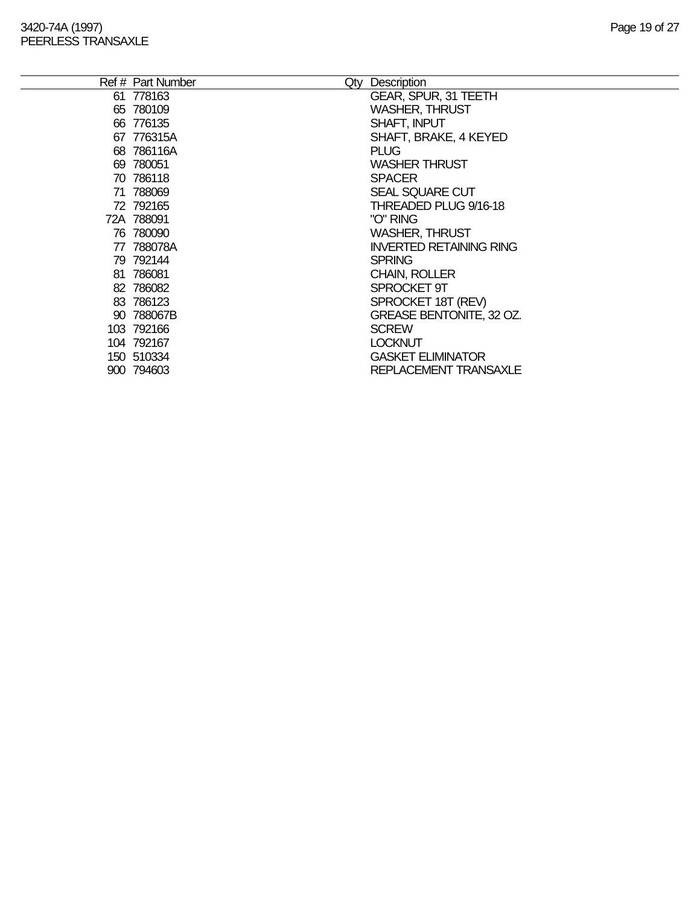|    | Ref # Part Number | Qty | Description                     |
|----|-------------------|-----|---------------------------------|
|    | 61 778163         |     | <b>GEAR, SPUR, 31 TEETH</b>     |
|    | 65 780109         |     | <b>WASHER, THRUST</b>           |
|    | 66 776135         |     | SHAFT, INPUT                    |
|    | 67 776315A        |     | SHAFT, BRAKE, 4 KEYED           |
|    | 68 786116A        |     | <b>PLUG</b>                     |
|    | 69 780051         |     | <b>WASHER THRUST</b>            |
|    | 70 786118         |     | <b>SPACER</b>                   |
|    | 71 788069         |     | SEAL SQUARE CUT                 |
|    | 72 792165         |     | THREADED PLUG 9/16-18           |
|    | 72A 788091        |     | "O" RING                        |
|    | 76 780090         |     | <b>WASHER, THRUST</b>           |
| 77 | 788078A           |     | <b>INVERTED RETAINING RING</b>  |
|    | 79 792144         |     | <b>SPRING</b>                   |
|    | 81 786081         |     | <b>CHAIN, ROLLER</b>            |
|    | 82 786082         |     | SPROCKET 9T                     |
|    | 83 786123         |     | SPROCKET 18T (REV)              |
|    | 90 788067B        |     | <b>GREASE BENTONITE, 32 OZ.</b> |
|    | 103 792166        |     | <b>SCREW</b>                    |
|    | 104 792167        |     | <b>LOCKNUT</b>                  |
|    | 150 510334        |     | <b>GASKET ELIMINATOR</b>        |
|    | 900 794603        |     | REPLACEMENT TRANSAXLE           |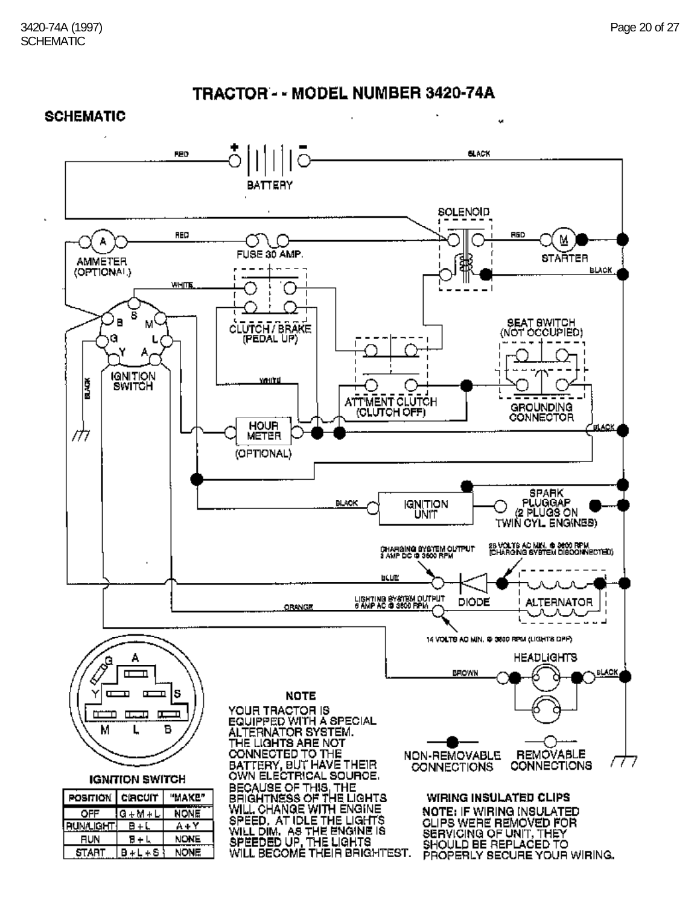¥



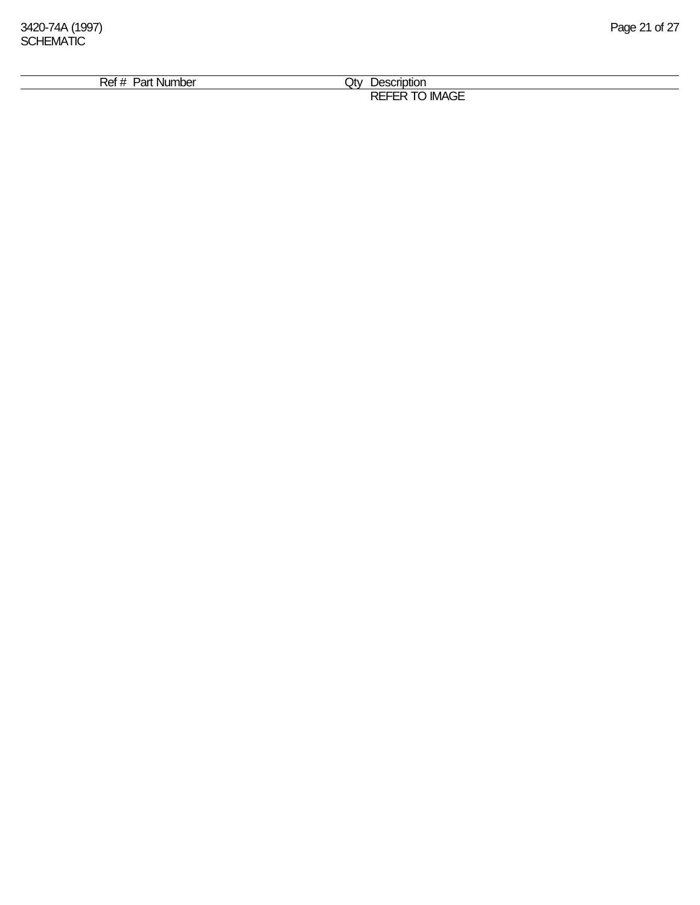| . Nur<br>$\cdot$ . $\sim$<br>nт | .)tv<br>∍םו             |  |
|---------------------------------|-------------------------|--|
| nbe <sup>r</sup><br>ʻdl<br>וסו  |                         |  |
|                                 | $\sim$ $-$<br>- -<br>பட |  |
|                                 | - IM<br>. JL<br>∼       |  |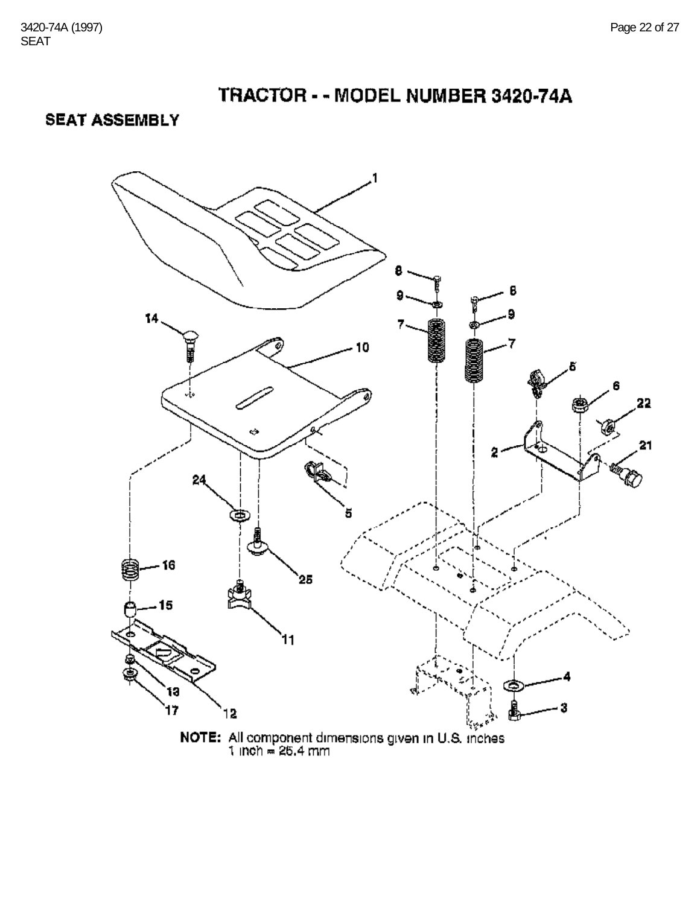**SEAT ASSEMBLY** 

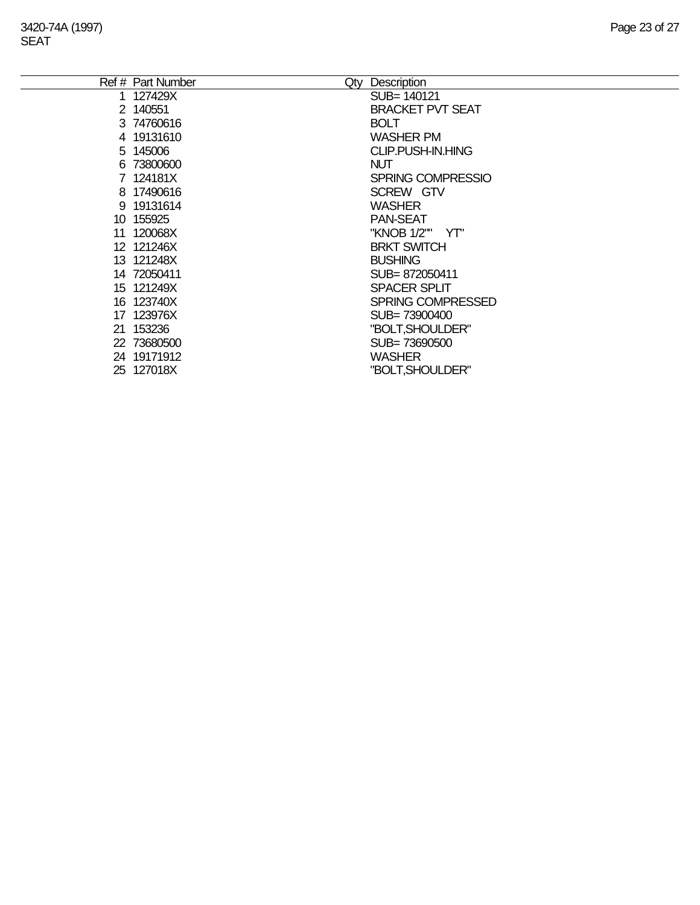| Ref # Part Number | Qty | Description             |
|-------------------|-----|-------------------------|
| 1 127429X         |     | SUB= 140121             |
| 2 140551          |     | <b>BRACKET PVT SEAT</b> |
| 3 74760616        |     | <b>BOLT</b>             |
| 4 19131610        |     | <b>WASHER PM</b>        |
| 5 145006          |     | CLIP.PUSH-IN.HING       |
| 6 73800600        |     | <b>NUT</b>              |
| 7 124181X         |     | SPRING COMPRESSIO       |
| 8 17490616        |     | SCREW GTV               |
| 9 19131614        |     | <b>WASHER</b>           |
| 10 155925         |     | <b>PAN-SEAT</b>         |
| 11 120068X        |     | "KNOB 1/2"" YT"         |
| 12 121246X        |     | <b>BRKT SWITCH</b>      |
| 13 121248X        |     | <b>BUSHING</b>          |
| 14 72050411       |     | SUB=872050411           |
| 15 121249X        |     | <b>SPACER SPLIT</b>     |
| 16 123740X        |     | SPRING COMPRESSED       |
| 17 123976X        |     | SUB= 73900400           |
| 21 153236         |     | "BOLT, SHOULDER"        |
| 22 73680500       |     | SUB=73690500            |
| 24 19171912       |     | <b>WASHER</b>           |
| 25 127018X        |     | "BOLT, SHOULDER"        |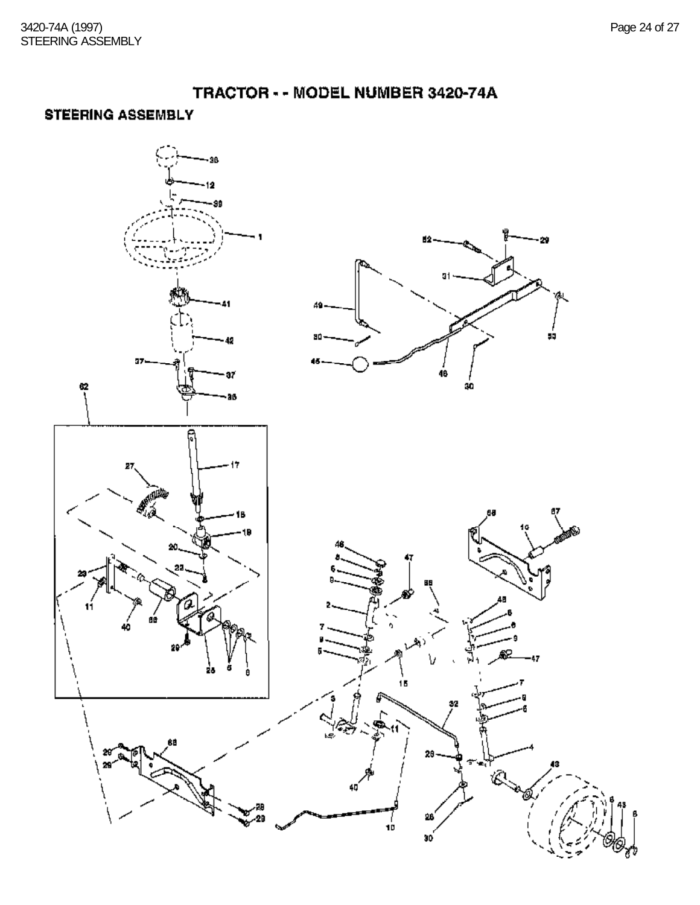#### **STEERING ASSEMBLY**

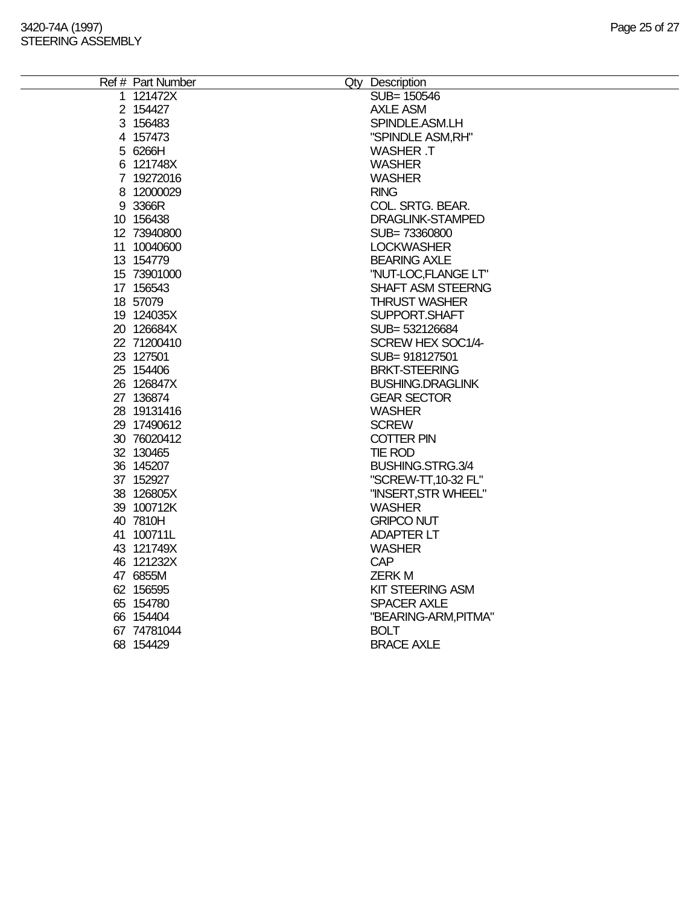| Ref # Part Number | Qty Description          |
|-------------------|--------------------------|
| 1 121472X         | SUB= 150546              |
| 2 154427          | <b>AXLE ASM</b>          |
| 3 156483          | SPINDLE.ASM.LH           |
| 4 157473          | "SPINDLE ASM, RH"        |
| 5 6266H           | WASHER .T                |
| 6 121748X         | <b>WASHER</b>            |
| 7 19272016        | <b>WASHER</b>            |
| 8 12000029        | <b>RING</b>              |
| 9 3366R           | COL. SRTG. BEAR.         |
| 10 156438         | DRAGLINK-STAMPED         |
| 12 73940800       | SUB=73360800             |
| 11 10040600       | <b>LOCKWASHER</b>        |
| 13 154779         | <b>BEARING AXLE</b>      |
| 15 73901000       | "NUT-LOC, FLANGE LT"     |
| 17 156543         | <b>SHAFT ASM STEERNG</b> |
| 18 57079          | <b>THRUST WASHER</b>     |
| 19 124035X        | SUPPORT.SHAFT            |
| 20 126684X        | SUB= 532126684           |
| 22 71200410       | SCREW HEX SOC1/4-        |
| 23 127501         | SUB= 918127501           |
| 25 154406         | <b>BRKT-STEERING</b>     |
| 26 126847X        | <b>BUSHING.DRAGLINK</b>  |
| 27 136874         | <b>GEAR SECTOR</b>       |
| 28 19131416       | <b>WASHER</b>            |
| 29 17490612       | <b>SCREW</b>             |
| 30 76020412       | <b>COTTER PIN</b>        |
| 32 130465         | <b>TIE ROD</b>           |
| 36 145207         | BUSHING.STRG.3/4         |
| 37 152927         | "SCREW-TT, 10-32 FL"     |
| 38 126805X        | "INSERT, STR WHEEL"      |
| 39 100712K        | <b>WASHER</b>            |
| 40 7810H          | <b>GRIPCO NUT</b>        |
| 41 100711L        | <b>ADAPTER LT</b>        |
| 43 121749X        | <b>WASHER</b>            |
| 46 121232X        | <b>CAP</b>               |
| 47 6855M          | <b>ZERKM</b>             |
| 62 156595         | <b>KIT STEERING ASM</b>  |
| 65 154780         | <b>SPACER AXLE</b>       |
| 66 154404         | "BEARING-ARM, PITMA"     |
| 67 74781044       | <b>BOLT</b>              |
| 68 154429         | <b>BRACE AXLE</b>        |
|                   |                          |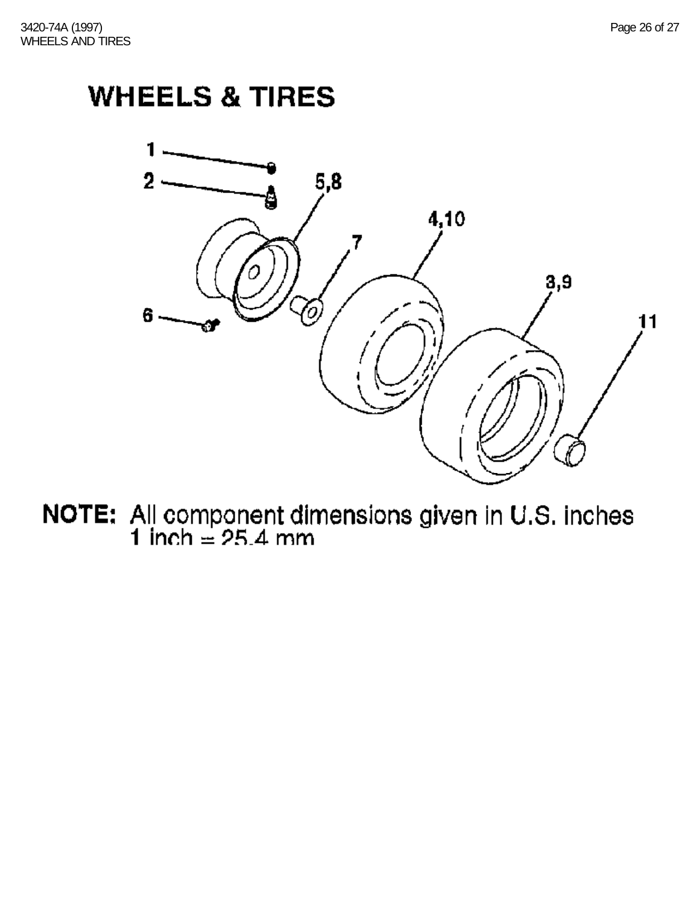# **WHEELS & TIRES**



**NOTE:** All component dimensions given in U.S. inches 1 inch  $= 25.4$  mm